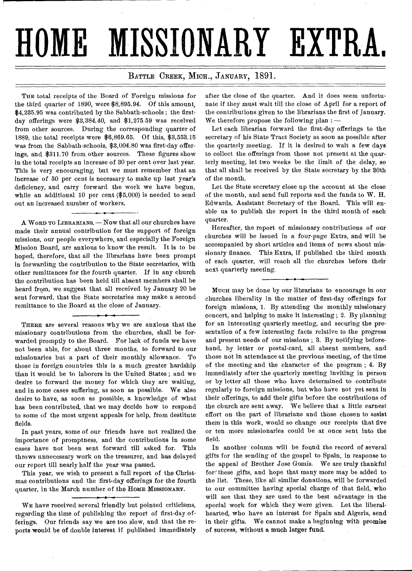# **HOME MISSIONARY EXTRA,**

### BATTLE CREEK, MICH., JANUARY, 1891.

THE total receipts of the Board of Foreign missions for the third quarter of 1890, were \$8,895.94. Of this amount, \$4,235.95 was contributed by the Sabbath-schools ; the firstday offerings were \$3,384.40, and \$1,275.59 was received from other sources. During the corresponding quarter of 1889, the total receipts were \$6,869.65. Of this, \$3,553.15 was from the Sabbath-schools, \$3,004.80 was first-day offerings, and \$311.70 from other sources. These figures show in the total receipts an increase of 30 per cent over last year. This is very encouraging, but we must remember that an increase of 50 per cent is necessary to make up last year's deficiency, and carry forward the work we have begun, while an additional 10 per cent (\$5,000) is needed to send out an increased number of workers.

A WORD TO LIBRARIANS. — Now that all our churches have made their annual contribution for the support of foreign missions, our people everywhere, and especially the Foreign Mission Board, are anxious to know the result. It is to be hoped, therefore, that all the librarians have been prompt in forwarding the contribution to the State secretaries, with other remittances for the fourth quarter. If in any church the contribution has been held till absent members shall be heard from, we suggest that all received by January 20 be sent forward, that the State secretaries may make a second remittance to the Board at the close of January.

THERE are several reasons why we are anxious that the missionary contributions from the churches, shall be forwarded promptly to the Board. For lack of funds we have not been able, for about three months, to forward to our missionaries but a part of their monthly allowance. To those in foreign countries this is a much greater hardship than it would be to laborers in the United States ; and we desire to forward the money for which they are waiting, and in some cases suffering, as soon as possible. We also desire to have, as soon as possible, a knowledge of what has been contributed, that we may decide how to respond to some of the most urgent appeals for help, from destitute fields.

In past years, some of our friends have not realized the importance of promptness, and the contributions in some cases have not been sent forward till asked for. This throws unnecessary work on the treasurer, and has delayed our report till nearly half the year was passed.

This year, we wish to present a full report of the Christmas contributions and the first-day offerings for the fourth quarter, in the March number of the HoME MissIONARY.

WE have received several friendly but pointed criticisms, regarding the time of publishing the report of first-day offerings. Our friends say we are too slow, and that the reports would be of double interest if published immediately

after the close of the quarter. And it does seem unfortunate if they must wait till the *close* of April for a report of the contributions given to the librarians the first of January. We therefore propose the following plan  $:$   $-$ 

Let each librarian forward the first-day offerings to the secretary of his State Tract Society as soon as possible after the quarterly meeting. If it is desired to wait a few days to collect the offerings from those not present at the quarterly meeting, let two weeks be the limit of the delay, so that all shall be received by the State secretary by the 20th of the month.

Let the State secretary close up the account at the close of the month, and send full reports and the funds to W. H. Edwards, Assistant Secretary of the Board. This will enable us to publish the report in the third month of each quarter.

Hereafter, the report of missionary contributions of our churches will be issued in a four-page Extra, and will be accompanied by short articles and items of news about missionary finance. This Extra, if published the third month of each quarter, will reach all the churches before their next quarterly meeting.

Muen may be done by our librarians to encourage in our churches liberality in the matter of first-day offerings for foreign missions, 1. By attending the monthly missionary concert, and helping to make it interesting ; 2. By planning for an interesting quarterly meeting, and securing the presentation of a few interesting facts relative to the progress and present needs of our missions ; 3. By notifying beforehand, by letter or postal-card, all absent members, and those not in attendance at the previous meeting, of the time of the meeting and the character of the program ; 4. By immediately after the quarterly meeting inviting in person or by letter all those who have determined to contribute regularly to foreign missions, but who have not yet sent in their offerings, to add their gifts before the contributions of the church are sent away. We believe that a little earnest effort on the part of librarians and those chosen to assist them in this work, would so change our receipts that five or ten more missionaries could be at once sent into the field.

In another column will be found the record of several gifts for the sending of the gospel to Spain, in response to the appeal of Brother Jose Gomis. We are truly thankful for' these gifts, and hope that many more may be added to the list. These, like all similar donations, will be forwarded to our committee having special charge of that field, who will see that they are used to the best advantage in the special work for which they were given. Let the liberalhearted, who have an interest for Spain and Algeria, send in their gifts. We cannot make a beginning with promise of success, without a much larger fund.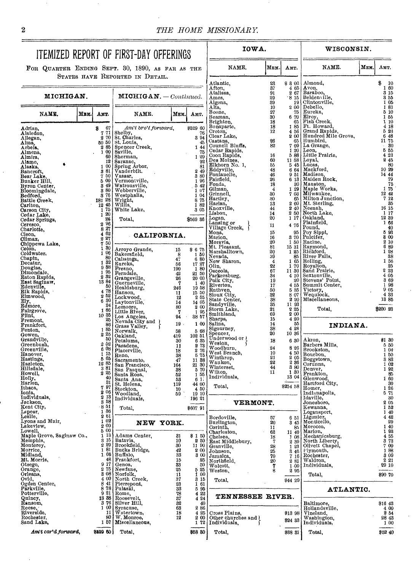NAME.  $M_{\text{EM}}$  AMT.

**WISCONSIN.** 

NAME. MEM. AMT.

**IOWA.** 

# ITEMIZED REPORT OF FIRST-DAY OFFERINGS

FOR QUARTER ENDING SEPT. 30, 1890, AS FAR AS THE

|                                      |      |                                                                                                                                                         | STATES HAVE REPORTED IN DETAIL.                                                                                                                                            |                                         |                                                          |                                                                                                                    |                    |                                               |                                                                                                                                          |                                                    |
|--------------------------------------|------|---------------------------------------------------------------------------------------------------------------------------------------------------------|----------------------------------------------------------------------------------------------------------------------------------------------------------------------------|-----------------------------------------|----------------------------------------------------------|--------------------------------------------------------------------------------------------------------------------|--------------------|-----------------------------------------------|------------------------------------------------------------------------------------------------------------------------------------------|----------------------------------------------------|
|                                      |      |                                                                                                                                                         |                                                                                                                                                                            |                                         |                                                          | Atlantic.                                                                                                          | 23                 | \$800                                         | Almond,                                                                                                                                  | \$<br>10                                           |
|                                      |      |                                                                                                                                                         |                                                                                                                                                                            |                                         |                                                          | Afton,<br>Atalissa,                                                                                                | 37<br>91           | 4 65<br>2007                                  | 00   Almond,<br>67   Avon,<br>67   Baraboo,<br>15   Belden ille,<br>19   Dibello,<br>75   Eureka,<br>70   Eureka,<br>85   Ft. Howard.    | 160<br>3 15                                        |
| MICHIGAN.                            |      |                                                                                                                                                         | $MICHIGAN. - {Continued.}$                                                                                                                                                 |                                         |                                                          | Ames.                                                                                                              | 29                 | -8 15                                         |                                                                                                                                          | 355                                                |
|                                      |      |                                                                                                                                                         |                                                                                                                                                                            |                                         |                                                          | Algona,<br>Alta,                                                                                                   | 89<br>10           | 200                                           |                                                                                                                                          | 1 05<br>181                                        |
| NAME.                                | Мви. | Аит.                                                                                                                                                    | NAME.                                                                                                                                                                      | Мем.                                    |                                                          | Boone,                                                                                                             | 27                 |                                               |                                                                                                                                          | 5 10                                               |
|                                      |      |                                                                                                                                                         |                                                                                                                                                                            |                                         | Амт.                                                     | Beaman,                                                                                                            | 30                 | 6 70                                          |                                                                                                                                          | 155                                                |
|                                      |      |                                                                                                                                                         |                                                                                                                                                                            |                                         |                                                          | Brighton,<br>Bonaparte,                                                                                            | 18<br>18           |                                               |                                                                                                                                          | 110<br>4 18                                        |
| Adrian,<br>Alaiedon,                 |      | 67<br>8<br>771                                                                                                                                          | Am't bro't forward,<br>Shelby,                                                                                                                                             |                                         | \$529 60<br>76                                           | Croton,                                                                                                            | 12                 |                                               | 185 Ft. Howard,<br>456 Grand Rapids,<br>200 Hundred Mile Grove,                                                                          | 523                                                |
| Allegan,                             |      | 2<br>70                                                                                                                                                 | St. Charles,                                                                                                                                                               |                                         | 3 94                                                     | Clear Lake,                                                                                                        |                    |                                               |                                                                                                                                          | 6 48                                               |
| Alma,                                |      |                                                                                                                                                         | $\begin{array}{c c}\n 80 & 50 & 8t.$ Louis,<br>$\begin{array}{c c}\n 285 & 86 & 86 \\ 1 & 00 & 86 & 100 \\  \end{array}\n \end{array}$                                     |                                         | 45<br>1 44                                               | Castana,<br>Council Bluffs,                                                                                        | 26<br>82           |                                               | e 65 Humbird,<br>7 09 La Grange,<br>1 20 Leon,<br>5 88 Little Prairie,                                                                   | 11 75<br>30                                        |
| Arbela,<br>Almena,                   |      |                                                                                                                                                         |                                                                                                                                                                            |                                         | 75                                                       | Cedar Rapids,                                                                                                      |                    |                                               |                                                                                                                                          | 555                                                |
| Almira,                              |      | 60                                                                                                                                                      | Sherman,                                                                                                                                                                   |                                         | 1 29                                                     | Coon Rapids,<br>Des Moines,                                                                                        | 16<br>60           |                                               |                                                                                                                                          | 4 23<br>245                                        |
| Alamo,                               |      | 12<br>1 00                                                                                                                                              | Saranac,<br>Spring Arbor,<br>Vanderbilt.                                                                                                                                   |                                         | 92<br>81                                                 | Elkhorn No. 1,                                                                                                     | 55                 |                                               | $11\overline{58}$ Loyal,<br>$5\overline{45}$ Lucas,                                                                                      | 80                                                 |
| Alaska,<br>Bancroft,                 |      | 381                                                                                                                                                     |                                                                                                                                                                            |                                         | 2 49                                                     | Eddyville,                                                                                                         | 48                 |                                               | 6 64 Mackford,                                                                                                                           | 10 29                                              |
| Bear Lake.                           |      | 750                                                                                                                                                     | Vassar,                                                                                                                                                                    |                                         | 3 80                                                     | Fontanelle.<br>Fairfield.                                                                                          | 46<br>26           |                                               | $951$ Madison,<br>6 13 Maiden Rock.                                                                                                      | 14 44<br>79                                        |
| Bunker Hill,<br>Byron Center,        |      | 500<br>3 49                                                                                                                                             | Vermontville,<br>Watrousville,                                                                                                                                             |                                         | 1 96<br>542                                              | Fonda.                                                                                                             | $\frac{18}{4}$     |                                               | 30   Mauston,                                                                                                                            | 75                                                 |
| Bloomingdale,                        |      |                                                                                                                                                         | Webberville,                                                                                                                                                               |                                         | 1 07                                                     | Gilman,                                                                                                            |                    |                                               | 1 29 Maple Works,                                                                                                                        | 1 75                                               |
| Bedford,                             |      | $\begin{smallmatrix} 3 & 3 & 3 & 3 \\ 8 & 8 & 76 & 38 \\ 8 & 8 & 76 & 8 \\ 18 & 45 & 15 & 1 \\ 1 & 20 & 36 & 1 \\ 1 & 36 & 36 & 1 \\ \end{smallmatrix}$ | Westphalia,                                                                                                                                                                |                                         | 1 04                                                     | Grinnell,<br>Hartley,                                                                                              | $30^{\circ}$<br>30 |                                               | 7 03 Milwaukee.<br>65 Milton Junction,                                                                                                   | 12 42<br>7 12                                      |
| Battle Creek,<br>Carlton,            |      |                                                                                                                                                         | Wright,<br>Willis,                                                                                                                                                         |                                         | 8 75<br>182                                              | Harlan,                                                                                                            | 13                 | 2 60                                          | Mt. Sterling,                                                                                                                            | 35                                                 |
| Carson City,                         |      |                                                                                                                                                         | White Lake,                                                                                                                                                                |                                         | 3 05                                                     | Knoxville.                                                                                                         | 44                 |                                               | 2 40 Neenah,                                                                                                                             | 16 15                                              |
| Cedar Lake,                          |      | 26                                                                                                                                                      | Total,                                                                                                                                                                     |                                         | \$569 36                                                 | Lisbon,<br>Logan,                                                                                                  | 14<br>20           |                                               | 2 50 North Lake,<br>1 17 Oakland,                                                                                                        | 1 17<br>12 39                                      |
| Cedar Springs,<br>Ceresco,           |      | $2\,96$                                                                                                                                                 |                                                                                                                                                                            |                                         |                                                          | Lansing or                                                                                                         | 11                 | 4 76                                          | Plainfield,<br>Pound,                                                                                                                    | 1 66                                               |
| Charlotte,                           |      | $\frac{8}{4}\frac{27}{62}$                                                                                                                              |                                                                                                                                                                            |                                         |                                                          | Village Creek,<br>Mona,                                                                                            | 15                 |                                               |                                                                                                                                          | 40<br>5 93                                         |
| Cleon,<br>Climax,                    |      | 2 27                                                                                                                                                    | CALIFORNIA.                                                                                                                                                                |                                         |                                                          | Marion,                                                                                                            | 16                 |                                               | $\begin{array}{c c} 95 & \text{Pop} \text{Spin,} \\ 3 & 70 & \text{Pulcifer,} \end{array}$                                               | 8 00                                               |
| Chippewa Lake,                       |      | $\begin{array}{c} 7\, \, 50 \\ 1\, \, 30 \end{array}$                                                                                                   |                                                                                                                                                                            |                                         |                                                          | Moravia,                                                                                                           | 20                 |                                               | $150$ Racine,                                                                                                                            | $2\;10$                                            |
| Colon.                               |      |                                                                                                                                                         | Arroyo Grande,                                                                                                                                                             | 15                                      | \$675                                                    | Mt. Pleasant,<br>Marshalltown,                                                                                     | 81<br>20           |                                               | 15 31 Raymond,<br>1 25 Richford.                                                                                                         | 689<br>128                                         |
| Coldwater,<br>Chapin,                |      | 80                                                                                                                                                      | 1 06 Bakersfield,                                                                                                                                                          | - 8                                     | 1 50                                                     | Nevada,                                                                                                            | 39                 |                                               | 85   River Falls,                                                                                                                        | 38                                                 |
| Decatur,                             |      | 1 32                                                                                                                                                    | Calistoga,<br>Eureka,                                                                                                                                                      | 47<br>56                                | 6 80                                                     | New Sharon,                                                                                                        | $\boldsymbol{4}$   |                                               | 1 65 Rolling,                                                                                                                            | 1 56                                               |
| Douglas,                             |      | 988<br>195                                                                                                                                              | Fresno,                                                                                                                                                                    | 190                                     | $\begin{array}{c} 17 \ \ 17 \ \ 1 \ \ 80 \end{array}$    | Olin,<br>Osceola,                                                                                                  | 22<br>67           |                                               | 170 Royalton,<br>11 30 Sand Prairie,                                                                                                     | $\begin{smallmatrix} &25\cr 2&23\end{smallmatrix}$ |
| Dimondale,                           |      |                                                                                                                                                         | Ferndale,                                                                                                                                                                  | 42<br>26                                | 21 50<br>20 00                                           | Parkersburg,                                                                                                       | 34                 | 4 10                                          | Sextonville,                                                                                                                             | 4 05                                               |
| Eaton Rapids,<br>East Saginaw,       |      |                                                                                                                                                         | $\begin{array}{c} \text{2} \\ \text{2} \\ \text{3} \\ \text{3} \\ \text{4} \end{array}$ Grangeville,<br>Guerneville,<br>Healdsburg,                                        | 7                                       | 1 40                                                     | Polk City,<br>Riverton,                                                                                            | 19<br>17           | 20<br>4 55                                    | Stevens' Point,<br>Summit Center,                                                                                                        | 369<br>198                                         |
| Edenville,<br>Elk Rapids,            |      | 50<br>4 78                                                                                                                                              |                                                                                                                                                                            | 246                                     | 1958                                                     | Ruthven,                                                                                                           | 50                 | 5 35                                          | Victory,                                                                                                                                 | 905                                                |
| Elmwood.                             |      | 252                                                                                                                                                     | Hanson,                                                                                                                                                                    | 11<br>12                                | 15 50<br>2 55                                            | Sioux City,                                                                                                        | 32                 | 8 0 7                                         | Wequiock,                                                                                                                                | 483                                                |
| Ely,                                 |      | 680<br>24                                                                                                                                               | Lockwood,<br>Laytonville,                                                                                                                                                  | 14                                      | 14 05                                                    | State Center,<br>Sandyville,                                                                                       | 38<br>35           | 2 2 0<br>11 93                                | Miscellaneous,                                                                                                                           | 13 85                                              |
| Edmore,<br>Fairgrove,                |      | 186                                                                                                                                                     | Lemoore,<br>Little River,                                                                                                                                                  | 80<br>7                                 | $\begin{array}{c} 2 & 00 \\ 1 & 95 \end{array}$          | Storm Lake,                                                                                                        | 21                 | 2 25                                          | Total,                                                                                                                                   | \$200 23                                           |
| Flint,                               |      |                                                                                                                                                         | $\begin{array}{c} 10\, \frac{35}{25}$ Los Angeles,<br>$\begin{array}{c} 25 \\ 25 \\ 86 \\ \frac{96}{25} \end{array}$ Nevada City and $\begin{array}{c} 8 \\ 1 \end{array}$ | 94                                      | 38 57                                                    | Smithland,                                                                                                         | 69                 | 2 00                                          |                                                                                                                                          |                                                    |
| Fremont.                             |      |                                                                                                                                                         |                                                                                                                                                                            | 19.                                     | 1 00                                                     | Sharps.<br>Salina,                                                                                                 | 15<br>14           | 4 20<br>55                                    |                                                                                                                                          |                                                    |
| Frankfort,<br>Fenton,                |      |                                                                                                                                                         | Norwalk,                                                                                                                                                                   | 58                                      | 5 68                                                     | Sigourney,                                                                                                         | 38                 | 4 28                                          | INDIANA.                                                                                                                                 |                                                    |
| Gowen,                               |      | $\begin{vmatrix} 2 & 25 \\ 50 \end{vmatrix}$                                                                                                            | Oakland,                                                                                                                                                                   | 419                                     | 102 51                                                   | $\begin{array}{l}\n\text{Sigou}\n\\ \text{Spencer,} \\ \text{Underwood or}\n\\ \text{Tr}_\text{atom}\n\end{array}$ | 20                 | 10 36                                         |                                                                                                                                          |                                                    |
| Grandville,<br>Greenbush,            |      | 252                                                                                                                                                     | Petaluma,                                                                                                                                                                  | 30                                      | $\begin{smallmatrix} 6 & 35 \\ 2 & 73 \end{smallmatrix}$ |                                                                                                                    | 18                 | 6 30                                          | Akron,<br>Barbers Mills,                                                                                                                 | \$1 30<br>5 50                                     |
| Greenville,                          |      | 608                                                                                                                                                     | Pasadena,<br>Placerville,                                                                                                                                                  | 11<br>18                                |                                                          | Weston,<br>Woodburn,                                                                                               | 24                 | 8 26                                          | Brookston,                                                                                                                               | 104                                                |
| Hanover,                             |      | $\overline{1}$ 15<br>565                                                                                                                                | Reno,                                                                                                                                                                      | 38                                      | $\frac{5}{6}\frac{76}{75}$                               | West Branch,<br>Winthrop,                                                                                          | 10<br>21           | $\frac{4}{2}$ $\frac{50}{05}$                 | Bourbon,                                                                                                                                 | 150                                                |
| Hastings.<br>Hazleton,               |      | 1285                                                                                                                                                    | Sacramento,                                                                                                                                                                | 47                                      | $\begin{array}{c} 11 \ 38 \\ 21 \ 30 \end{array}$        | Waukon,                                                                                                            | 22                 |                                               | Boggstown,<br>Corunna,                                                                                                                   | 3 8 3<br>1 02                                      |
| Hillsdale,                           |      | $\begin{array}{c} 381 \\ 385 \\ 40 \end{array}$                                                                                                         | San Francisco,<br>San Pasqual,                                                                                                                                             | 164<br>38                               | 5 70                                                     | Winterset,                                                                                                         | 44                 | $\begin{array}{c} 2\,86 \\ 3\,80 \end{array}$ | Denver,                                                                                                                                  | 192                                                |
| Howell,                              |      |                                                                                                                                                         | Santa Rosa,                                                                                                                                                                | 52                                      | 1 55                                                     | Wilton,<br>Individuals,                                                                                            | 11                 | 1 30<br>13 04                                 | Frankton,                                                                                                                                | 85                                                 |
| Holly,<br>Harlon,                    |      | 81                                                                                                                                                      | Santa Ana,<br>St. Helena,                                                                                                                                                  | 53<br>119                               | 6 1.<br>44 00                                            |                                                                                                                    |                    |                                               | Glenwood,<br>Hartford City,                                                                                                              | 160<br>30                                          |
| Ithaca.                              |      | 797                                                                                                                                                     | Stockton,                                                                                                                                                                  | 10                                      | 4 50                                                     | Total,                                                                                                             |                    | \$254 58                                      | Homer,                                                                                                                                   | 26                                                 |
| Ionia.<br>Individuals,               |      | 206                                                                                                                                                     | Woodland,                                                                                                                                                                  | 59                                      | 19 10                                                    |                                                                                                                    |                    |                                               | Indianapolis,                                                                                                                            | 5 71<br>30                                         |
| Jackson,                             |      | $\begin{smallmatrix} 2 & 13 \\ 3 & 58 \end{smallmatrix}$                                                                                                | Individuals.                                                                                                                                                               |                                         | 196 21                                                   | VERMONT.                                                                                                           |                    |                                               | Idaville,<br>Jonesboro,                                                                                                                  | 205                                                |
| Kent City,                           |      | 851<br>1 36                                                                                                                                             | Total,                                                                                                                                                                     |                                         | \$607 91                                                 |                                                                                                                    |                    |                                               | Kewanna,                                                                                                                                 | 1 52                                               |
| Lapeer,<br>Leslie,                   |      | 261                                                                                                                                                     |                                                                                                                                                                            |                                         |                                                          | Bordoville,                                                                                                        | 57                 | 6 51                                          | Logansport,<br>Ligonier,                                                                                                                 | 140<br>4 42                                        |
| Lyons and Muir,                      |      | 102                                                                                                                                                     | NEW YORK.                                                                                                                                                                  |                                         |                                                          | Burlington,                                                                                                        | 20                 | 3 45                                          | Monticello,                                                                                                                              | 29                                                 |
| Lakeview,<br>Lowell,                 |      | 200<br>00 <sub>1</sub><br>5                                                                                                                             |                                                                                                                                                                            |                                         |                                                          | Corinth,                                                                                                           | 11                 |                                               | 85 Morocco,                                                                                                                              | 1 40                                               |
| Maple Grove, Saginaw Co.,            |      |                                                                                                                                                         | 1 13 Adams Center,                                                                                                                                                         | 31                                      | \$150                                                    | Charleston,<br>Chelsea,                                                                                            | 62                 |                                               | 11 40   Marion,<br>1 08 Mechanicsburg,                                                                                                   | 193<br>4 5 5                                       |
| Memphis,<br>Monterey,                |      |                                                                                                                                                         | 1 15 Nataria,<br>2 29 Brookfield,<br>1 81 Bucks Bridge,<br>1 81 Bucks Bridge,<br>48 Brankfort,<br>9 17 Genoa,<br>Nataria                                                   | 10                                      |                                                          | 2 50 Hast Middlebury,<br>11 90 Granville,<br>2 00 Johnson,                                                         | $\frac{18}{7}$     |                                               | 2 39 North Liberty,                                                                                                                      | 373                                                |
| Morrice,                             |      |                                                                                                                                                         |                                                                                                                                                                            | 30<br>42                                |                                                          |                                                                                                                    | 28                 | 1 23                                          | Olivett Chapel,                                                                                                                          | 700<br>188                                         |
| Midland,                             |      |                                                                                                                                                         |                                                                                                                                                                            | 33                                      |                                                          |                                                                                                                    | $\frac{25}{70}$    |                                               | $\begin{array}{c c}\n\hat{3} & \hat{46} & \hat{19} \\ \hline\n7 & 16 & \text{Rochester,} \\ \hat{2} & 81 & \text{Waldron,}\n\end{array}$ | 3 0 9                                              |
| Mt. Morris,                          |      |                                                                                                                                                         |                                                                                                                                                                            | 15                                      | $\substack{25 \\ 50}$                                    | a 00 Jamaica,                                                                                                      | 20                 |                                               |                                                                                                                                          | 221                                                |
| Otsego,<br>Orange,                   |      |                                                                                                                                                         | 2 75 Newfane,                                                                                                                                                              | 33<br>25                                |                                                          | Wolcott,<br>Weston.                                                                                                |                    | 1.00<br>295                                   | Individuals,                                                                                                                             | 29 10                                              |
| Orleans.                             |      |                                                                                                                                                         |                                                                                                                                                                            | 11                                      | $\begin{smallmatrix} 5 & 25 \\ 1 & 00 \end{smallmatrix}$ |                                                                                                                    |                    |                                               | Total,                                                                                                                                   | \$90 70                                            |
|                                      |      |                                                                                                                                                         | a 08 Norfolk,<br>4 00 North Creek,<br>8 41 Pierrepont,                                                                                                                     | 37                                      | 3 15                                                     | Total,                                                                                                             |                    | \$44 29                                       |                                                                                                                                          |                                                    |
| Ovid,<br>Ogden Center,<br>Parkville, |      |                                                                                                                                                         |                                                                                                                                                                            | $\begin{array}{c} 23 \\ 33 \end{array}$ | 1 61<br>5 95                                             |                                                                                                                    |                    |                                               | ATLANTIC.                                                                                                                                |                                                    |
| Potterville,                         |      |                                                                                                                                                         | 8 78 Pulaski,                                                                                                                                                              | 78                                      | 4 22                                                     | TENNESSEE RIVER.                                                                                                   |                    |                                               |                                                                                                                                          |                                                    |
| Quincy,<br>Ransom,                   |      |                                                                                                                                                         | 13 38 Roosevelt,<br>3 76 Silver Hill,                                                                                                                                      | 37<br>32                                | 4 24<br>40                                               |                                                                                                                    |                    |                                               | Baltimore,                                                                                                                               | 816 43                                             |
| Reese,                               |      |                                                                                                                                                         |                                                                                                                                                                            | 63                                      | 286                                                      |                                                                                                                    |                    |                                               | Hollandsville,                                                                                                                           | 4 00                                               |
| Riverside,                           |      |                                                                                                                                                         | 1 00 Syracuse,<br>11 Watertown,<br>80 W. Monroe,                                                                                                                           | 18<br>12                                | 4 25                                                     | Cross Plains.                                                                                                      |                    | \$13 98                                       | Vineland,                                                                                                                                | 254                                                |
| Rochester,<br>Sand Lake,             |      |                                                                                                                                                         | 157   Miscellaneous,                                                                                                                                                       |                                         | 2 00<br>172                                              | Other churches and l<br>Individuals.                                                                               |                    | \$24 33                                       | Washington,<br>Individuals,                                                                                                              | 28 43<br>1 00                                      |
| Am't car'd forward,                  |      | \$529 60                                                                                                                                                | Total,                                                                                                                                                                     |                                         | \$58 80                                                  | Total,                                                                                                             |                    | \$38 31                                       | Total,                                                                                                                                   | \$52 40                                            |
|                                      |      |                                                                                                                                                         |                                                                                                                                                                            |                                         |                                                          |                                                                                                                    |                    |                                               |                                                                                                                                          |                                                    |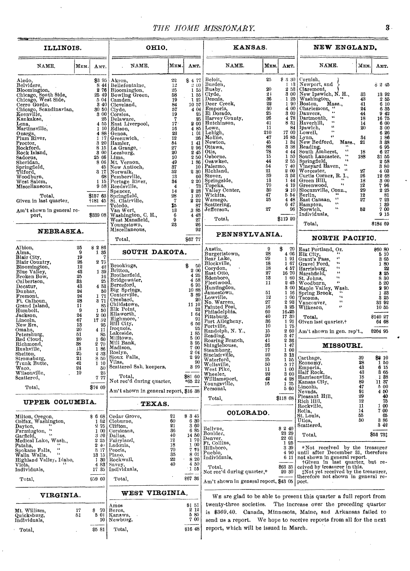## THE HOME MISSIONARY. **8**

 $\hat{\mathbf{v}}$ 

| ILLINOIS.                                                                                                                                                                                                                                                                                                                                                                                                                          |                                                                                                                                                                             |                                                                                                                                                                                                                                                                                                                                                   | OHIO.                                                                                                                                                                                                                                                                                                                                                                                                                                                                           |                                                                                                                                                                                          |                                                                                                                                                                                                                 | KANSAS.                                                                                                                                                                                                                                                                                                                                                                                                                                                                                       |                                                                                                                                                                                  |                                                                                                                                                                                                                                                                                                     | NEW ENGLAND.                                                                                                                                                                                                                                                                                                                                                                                                                                                                                                                                                                                                                                                                                                                                                                                                                                                                                                       |                                                                                                                       |                                                                                                                                                                                                                                |  |
|------------------------------------------------------------------------------------------------------------------------------------------------------------------------------------------------------------------------------------------------------------------------------------------------------------------------------------------------------------------------------------------------------------------------------------|-----------------------------------------------------------------------------------------------------------------------------------------------------------------------------|---------------------------------------------------------------------------------------------------------------------------------------------------------------------------------------------------------------------------------------------------------------------------------------------------------------------------------------------------|---------------------------------------------------------------------------------------------------------------------------------------------------------------------------------------------------------------------------------------------------------------------------------------------------------------------------------------------------------------------------------------------------------------------------------------------------------------------------------|------------------------------------------------------------------------------------------------------------------------------------------------------------------------------------------|-----------------------------------------------------------------------------------------------------------------------------------------------------------------------------------------------------------------|-----------------------------------------------------------------------------------------------------------------------------------------------------------------------------------------------------------------------------------------------------------------------------------------------------------------------------------------------------------------------------------------------------------------------------------------------------------------------------------------------|----------------------------------------------------------------------------------------------------------------------------------------------------------------------------------|-----------------------------------------------------------------------------------------------------------------------------------------------------------------------------------------------------------------------------------------------------------------------------------------------------|--------------------------------------------------------------------------------------------------------------------------------------------------------------------------------------------------------------------------------------------------------------------------------------------------------------------------------------------------------------------------------------------------------------------------------------------------------------------------------------------------------------------------------------------------------------------------------------------------------------------------------------------------------------------------------------------------------------------------------------------------------------------------------------------------------------------------------------------------------------------------------------------------------------------|-----------------------------------------------------------------------------------------------------------------------|--------------------------------------------------------------------------------------------------------------------------------------------------------------------------------------------------------------------------------|--|
| NAME.                                                                                                                                                                                                                                                                                                                                                                                                                              | Мем.                                                                                                                                                                        | AMT.                                                                                                                                                                                                                                                                                                                                              | NAME.                                                                                                                                                                                                                                                                                                                                                                                                                                                                           | Мем.                                                                                                                                                                                     | Амт.                                                                                                                                                                                                            | NAME.                                                                                                                                                                                                                                                                                                                                                                                                                                                                                         | Мкм.                                                                                                                                                                             | Амт.                                                                                                                                                                                                                                                                                                | NAME.                                                                                                                                                                                                                                                                                                                                                                                                                                                                                                                                                                                                                                                                                                                                                                                                                                                                                                              | Мюм.                                                                                                                  | Амт.                                                                                                                                                                                                                           |  |
| Aledo.<br>Belvidere,<br>Bloomington,<br>Chicago, South Side,<br>Chicago, West Side,<br>Cerro Gordo,<br>Chicago, Scandinavian,<br>Keenville,<br>Kankakee,<br>Lena,<br>Martinsville,<br>Onarga,<br>Plum River,<br>Proctor,<br>Rockford,<br>Rock Island,<br>Sadorus,<br>Sheridan,<br>Springfield,<br>Tilford,<br>Woodburn,<br>West Salem.<br>Miscellaneous,<br>Total,<br>Given in last quarter,<br>Am't shown in general re-<br>port, |                                                                                                                                                                             | \$3 95<br>844<br>276<br>25<br>4 55<br>1 10  <br>4 8 8<br>1 17<br>8 15<br>8 00<br>25 66<br>8 0 6<br>45<br>317<br>68<br>1 15<br>\$157 63<br>1181 45<br>\$339 08                                                                                                                                                                                     | Akron,<br>Bellefontaine,<br>Bloomington,<br>25 49 Bowling Green,<br>5 04   Camden,<br>3 40 Cleveland,<br>$3050$ Clyde,<br>3 00 Corsiea,<br>Delaware,<br>East Liverpool.<br>Edison,<br>Genoa,<br>Greenwich,<br>3 20 Hamler.<br>La Grange,<br>Leesburg,<br>Lima,<br>Mt. Vernon,<br>New Antioch,<br>Norwalk,<br>Pemberville,<br>Portage River,<br>9 58 Reedsville,<br>Spencer,<br>Springfield.<br>St. Clairville,<br>Toledo,<br>Van Wert,<br>Washington, C. H.,<br>West Mansfield, | $22\,$<br>$12$<br>25<br>58<br>19<br>84<br>57<br>19<br>7<br>17<br>16<br>23<br>12<br>54<br>27<br>20<br>10<br>49<br>37<br>32<br>18<br>34<br>4<br>14<br>$\frac{28}{7}$<br>15<br>13<br>$^6_9$ | \$477<br>200<br>155<br>1 55<br>121<br>10 57<br>4 04<br>25<br>200<br>485<br>101<br>26<br>141<br>2 96<br>245<br>250<br>186<br>10<br>2 30<br>60<br>2 20<br>73<br>2 28<br>120<br>2 2 2<br>87<br>3 85<br>4 4 8<br>27 | Beloit,<br>Burden,<br>Busby,<br>Clyde.<br>Dennis,<br>Deer Creek,<br>Emporia.<br>El Dorado,<br>Harvey County,<br>Hutchinson,<br>Lowe,<br>  Lehigh,<br>Moline,<br>Newton,<br>Ottawa,<br>Otis,<br>Osborne,<br>Osawkee,<br>Palermo,<br>Richland,<br>Stover,<br>Springside,<br>Topeka,<br>Valley Center,<br>Wichita,<br>Wamego,<br>Scattering,<br>Jefferson,<br>Total,                                                                                                                             | 25<br>20<br>21<br>36<br>22<br>$30\,$<br>25<br>26<br>41<br>11<br>210<br>47<br>45<br>86<br>$^{78}_{15}$<br>44<br>54<br>$\frac{21}{39}$<br>$\frac{13}{70}$<br>30<br>47<br>25<br>27  | \$330<br>$\mathbf{I}$<br>$\overline{13}$<br>1 44<br>5 54<br>4 4 8<br>47<br>6<br>\$119 20                                                                                                                                                                                                            | Cornish,<br>Newport, and<br>$\begin{array}{c c} \text{2 58} & \text{Claremont}, \\ \text{3 00} & \text{New Tpswich}, \text{N. H.}, \end{array}$<br>$\begin{array}{c} 3 & 00 \\ 1 & 25 \end{array} \begin{array}{l} {\small\textbf{New type}}\\ \textbf{Washington,} \\ \textbf{Roston,} \\ \textbf{Mass.} \end{array},$<br>$400$ Charlemont, "<br>3 00 Danvers.<br>$\boldsymbol{\epsilon}$<br>478 Dartmouth.<br>¢¢<br>8 31 Haverhill,<br>$\mathbf{G}$<br>84 Ipswich,<br>$\ddot{\phantom{a}}$<br>17 00 Lowell,<br>16 85 Lynn, "<br>1 34 New Bedford, Mass., 3 38 Reading, "<br>4 44 South Amherst, "<br>1 50 South Lancaster,<br>2 55 Springfield,<br>7 40 Vineyard Haven,<br>2 00 Worcester,<br>$\Omega$<br>3 52 Curtis Corner, R. I.,<br>Green Hill,<br>$\mathbf{G}$<br>4 19 Greenwood,<br>2 10 Slocumville, Conn.,<br>Berlin,<br>εt.<br>  East Canaan,<br>£¢<br>Hampton,<br>GG.<br>96   Norwich.<br>Individuals, | 33<br>43<br>41<br>24<br>44<br>18<br>14<br>20<br>34<br>21<br>18<br>188<br>27<br>26<br>18<br>12<br>29<br>12<br>27<br>52 | \$2,45<br>13 92<br>255<br>610<br>6 35<br>$\frac{9}{16}$ $\frac{42}{75}$<br>6 00<br>3 00<br>6 26<br>186<br>38<br>695<br>627<br>31 55<br>258<br>380<br>4 0 8<br>12 68<br>3 00<br>796<br>2 25<br>81<br>723<br>1 39<br>700<br>9 15 |  |
| NEBRASKA.                                                                                                                                                                                                                                                                                                                                                                                                                          |                                                                                                                                                                             |                                                                                                                                                                                                                                                                                                                                                   | Youngstown,<br>Miscellaneous,<br>Total.                                                                                                                                                                                                                                                                                                                                                                                                                                         | 23                                                                                                                                                                                       | 26<br>$92\,$<br>\$67 77                                                                                                                                                                                         | PENNSYLVANIA.                                                                                                                                                                                                                                                                                                                                                                                                                                                                                 |                                                                                                                                                                                  |                                                                                                                                                                                                                                                                                                     | Total,<br>\$184 69<br>NORTH PACIFIC.                                                                                                                                                                                                                                                                                                                                                                                                                                                                                                                                                                                                                                                                                                                                                                                                                                                                               |                                                                                                                       |                                                                                                                                                                                                                                |  |
| Albion,<br>Alma,<br>Blair City,<br>Blair Country.<br>Bloomington,<br>Blue Valley,<br>Broken Bow,<br>Culbertson,<br>Decatur,<br>Dunbar,<br>Fremont,<br>Ft. Calhoun,<br>Grand Island,<br>Humbolt,<br>Jackson,<br>Lincoln,<br>New Era,<br>Omaha,<br>Petershurg,<br>Red Cloud,<br>Richmond,<br>Rushville,<br>Shelton,<br>Stromsburg,<br>Trunk Butte,<br>Waco.<br>Wilsonville,<br>Scattered,<br>Total,                                  | 25<br>$\boldsymbol{9}$<br>19<br>26<br>12<br>43<br>25<br>33<br>43<br>24<br>24<br>28<br>11<br>9<br>24<br>67<br>13<br>20<br>51<br>20<br>38<br>13<br>25<br>21<br>42<br>24<br>19 | \$286<br>1 35<br>2 75<br>42<br>1 39<br>16<br>25<br>4 53<br>50<br>$\begin{smallmatrix} 1 & 71 \\ 3 & 71 \end{smallmatrix}$<br>85<br>$\begin{smallmatrix} 1 & 50\\ 2 & 00 \end{smallmatrix}$<br>17 52<br>95<br>4 11<br>85<br>1 60<br>$\begin{smallmatrix} 2 & 70 \\ 1 & 86 \end{smallmatrix}$<br>2 33<br>8 50<br>110<br>50<br>25<br>7.77<br>\$74 09 | SOUTH DAKOTA.<br>Brookings.<br>Britton,<br>Brotherfield.<br>Bridgewater,<br>Beresford,<br>Big Springs,<br>Centerville,<br>Cresbard,<br>Childstown,<br>Elk Point.<br>Ellsworth,<br>Highmore,<br>Hill City,<br>Iroquois,<br>Lakeside,<br>Milltown,<br>Mill Bank,<br>Madison,<br>Roslyn,<br>Sioux Falls,<br>Vilas,<br>Scattered Sah, keepers,<br>Total,<br>Not rec'd during quarter,<br>Am't shown in general report, \$16 38                                                      |                                                                                                                                                                                          | \$<br>50<br>$\frac{2}{4}$ $\frac{00}{25}$<br>4 58<br>6 95<br>10 88<br>3 89<br>20<br>11 10<br>23<br>1 64<br>91<br>6 50<br>25<br>185<br>5 00<br>3 95<br>700<br>2 04<br>2 9 9<br>90<br>8 9 9<br>\$81 60<br>*65 22  | Austin,<br>Burgetistown,<br>Bear Lake.<br>Blockville,<br>Corydon,<br>East Otto,<br>Edenboro,<br>Fleetwood,<br>Huntingdon,<br>Jamestown,<br>Lowville,<br>No. Warren,<br>Painted Post,<br>Philadelphia,<br>Pittsburg,<br>Port Allegheny,<br>Portville,<br>Randolph, N.Y.,<br>Raading, N. 1.,<br>Roading, Branch,<br>Roaring Branch,<br>Shinglehouse,<br>Steamburg,<br>Waterford,<br>Waterford,<br>Wellsville,<br>West Pike.<br>Wheeler,<br>Williamsport,<br>Youngsville,<br>Personal,<br>Total. | 9<br>28<br>29<br>18<br>18<br>$\overline{27}$<br>18<br>11<br>51<br>12<br>27<br>16<br>60<br>40<br>36<br>10<br>15<br>20<br>41<br>26<br>17<br>20<br>15<br>50<br>11<br>22<br>42<br>16 | \$<br>70<br>4 06<br>1 91<br>167<br>457<br>16 70<br>1 60<br>245<br>3 00<br>1 16<br>1 00<br>293<br>3 25<br>16.25<br>17 39<br>1 91<br>1 75<br>$\begin{smallmatrix} 2 & 60 \\ 8 & 47 \end{smallmatrix}$<br>2 36<br>147<br>100<br>3 13<br>1 55<br>5 17<br>100<br>3 00<br>4 28<br>1 75<br>5 60<br>\$11868 | East Portland, Or.<br>Elk City,<br>ζ¢<br>Grant's Pass,<br>$\ddot{\bullet}$<br>Gravel Ford,<br>Ġ.<br>Harrisburg,<br>$\overline{1}$<br>Marshfield,<br>$\mathbf{G}$<br>St. Johns,<br>$\overline{\mathbf{G}}$<br>Woodburn.<br>Maple Valley, Wash.<br>Spring Brook,<br>Tacoma,<br>Vancouver,<br>Wilkeson,<br>Ġ.<br>$\sim$<br>$\ddot{\phantom{a}}$<br>Total,<br>Given last quarter,+<br>Am't shown in gen. rep't.,<br>MISSOURI.<br>Carthage,<br>Economy,<br>Emporia,<br>Half Rock,<br>Harrisonville,<br>Kansas City,<br>Lincoln,<br>Nevada,<br>Pleasant Hill,                                                                                                                                                                                                                                                                                                                                                            | 39<br>28<br>43<br>43<br>18<br>89<br>47<br>91                                                                          | \$60 80<br>5 10<br>365<br>1 80<br>$\frac{22}{3}$<br>830<br>5 20<br>290<br>1 83<br>3 25<br>33 92<br>10 55<br>8140 27<br>64 68<br>\$204 95<br>\$8 10<br>1 50<br>6 15<br>365<br>1 88<br>11 37<br>5 00<br>4 50<br>40               |  |
| UPPER COLUMBIA.                                                                                                                                                                                                                                                                                                                                                                                                                    |                                                                                                                                                                             |                                                                                                                                                                                                                                                                                                                                                   | TEXAS.                                                                                                                                                                                                                                                                                                                                                                                                                                                                          |                                                                                                                                                                                          |                                                                                                                                                                                                                 | COLORADO.                                                                                                                                                                                                                                                                                                                                                                                                                                                                                     |                                                                                                                                                                                  |                                                                                                                                                                                                                                                                                                     | Rich Hill,<br>Rockville,<br>Rolla,                                                                                                                                                                                                                                                                                                                                                                                                                                                                                                                                                                                                                                                                                                                                                                                                                                                                                 | 12<br>11<br>14                                                                                                        | 75<br>1 00<br>7 00                                                                                                                                                                                                             |  |
| Milton, Oregon,<br>Colfax, Washington,<br>Dayton,<br>$\mathbf{G}_{\mathbf{A}}$<br>Farmington,<br>$\epsilon$<br>Garfield,<br>Medical Lake, Wash.,<br>Pataha.<br>44<br>Spokane Falls,<br>$\mathbf{G}$<br>Walla Walla,<br>Highland Valley, Idaho,<br>Viola,<br>Individuals,<br>Total,                                                                                                                                                 |                                                                                                                                                                             | \$668<br>152<br>2.75<br>1 00<br>320<br>2 25<br>240<br>3 17<br>13 15<br>-30<br>1<br>483<br>1735<br>\$59 60                                                                                                                                                                                                                                         | Cedar Grove,<br>Cleburne,<br>Clifton,<br>Corsicana,<br>Dallas,<br>Fairyland,<br>Ladonia,<br>Peoria,<br>Plano,<br>Rockwall,<br>Savoy,<br>Individuals,<br>Total,                                                                                                                                                                                                                                                                                                                  | 21<br>60<br>21<br>36<br>40<br>12<br>18<br>70<br>35<br>22<br>40                                                                                                                           | \$ 3 45<br>6 30<br>360<br>685<br>14 50<br>170<br>1 00<br>7.70<br>8 01<br>820<br>4 50<br>$\cdot 1.55$<br>\$67 36                                                                                                 | Bellvue.<br>Boulder,<br>Denver.<br>Ft. Collins,<br>Hillsboro,<br>Pueblo.<br>Individuals,<br>Total,<br>Not rec'd during quarter,*<br>Am't shown in general report, \$43 05   port.                                                                                                                                                                                                                                                                                                             |                                                                                                                                                                                  | \$2,40<br>23 29<br>22 01<br>1 25<br>3 39<br>4 90<br>6 11<br>863 35<br>20 30                                                                                                                                                                                                                         | St. Louis.<br>Utica,<br>Scattered,<br>Total,<br>*Not received by the treasurer<br>until after December 31, therefore<br>not shown in general report.<br>+Given in last quarter, but received by treasurer in this.<br>#Not yet received by the treasurer,<br>therefore not shown in general re-                                                                                                                                                                                                                                                                                                                                                                                                                                                                                                                                                                                                                    | 55<br>50                                                                                                              | 65<br>8 8 6<br>3 4 2<br>\$53 73‡                                                                                                                                                                                               |  |
| VIRGINIA.                                                                                                                                                                                                                                                                                                                                                                                                                          |                                                                                                                                                                             |                                                                                                                                                                                                                                                                                                                                                   | WEST VIRGINIA.                                                                                                                                                                                                                                                                                                                                                                                                                                                                  |                                                                                                                                                                                          |                                                                                                                                                                                                                 |                                                                                                                                                                                                                                                                                                                                                                                                                                                                                               |                                                                                                                                                                                  |                                                                                                                                                                                                                                                                                                     | We are glad to be able to present this quarter a full report from                                                                                                                                                                                                                                                                                                                                                                                                                                                                                                                                                                                                                                                                                                                                                                                                                                                  |                                                                                                                       |                                                                                                                                                                                                                                |  |
| Mt. William,<br>Quicksburg,<br>Individuals,                                                                                                                                                                                                                                                                                                                                                                                        | 17<br>51                                                                                                                                                                    | \$<br>-70<br>501<br>10                                                                                                                                                                                                                                                                                                                            | Amos<br>Berca,<br>Kanawa,<br>Newburg,                                                                                                                                                                                                                                                                                                                                                                                                                                           |                                                                                                                                                                                          | \$151<br>2 12<br>5 85<br>700                                                                                                                                                                                    |                                                                                                                                                                                                                                                                                                                                                                                                                                                                                               |                                                                                                                                                                                  |                                                                                                                                                                                                                                                                                                     | twenty-three societies. The increase over the preceding quarter<br>is \$369.40. Canada, Minnesota, Maine, and Arkansas failed to<br>send us a report. We hope to receive reports from all for the next                                                                                                                                                                                                                                                                                                                                                                                                                                                                                                                                                                                                                                                                                                             |                                                                                                                       |                                                                                                                                                                                                                                |  |
| Total,                                                                                                                                                                                                                                                                                                                                                                                                                             |                                                                                                                                                                             | \$5 81                                                                                                                                                                                                                                                                                                                                            | Total,                                                                                                                                                                                                                                                                                                                                                                                                                                                                          |                                                                                                                                                                                          | \$16 48                                                                                                                                                                                                         | report, which will be issued in March.                                                                                                                                                                                                                                                                                                                                                                                                                                                        |                                                                                                                                                                                  |                                                                                                                                                                                                                                                                                                     |                                                                                                                                                                                                                                                                                                                                                                                                                                                                                                                                                                                                                                                                                                                                                                                                                                                                                                                    |                                                                                                                       |                                                                                                                                                                                                                                |  |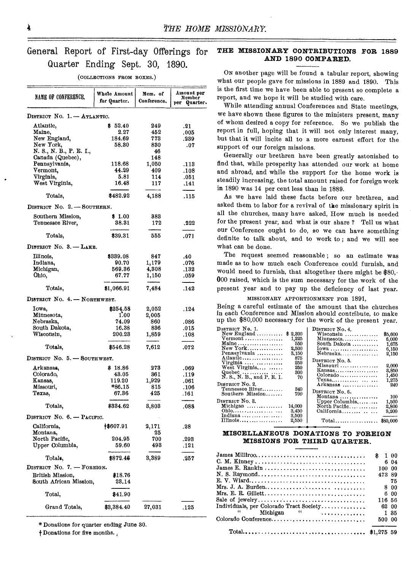# General Report of First-day Offerings Quarter Ending Sept. 30, 1890.

| NAME OF CONFERENCE.          | Whole Amount<br>for Quarter. | Mem. of<br>Conference. | Amount per<br>Member<br>Quarter.<br>per |
|------------------------------|------------------------------|------------------------|-----------------------------------------|
| DISTRICT NO. 1. -- ATLANTIC. |                              |                        |                                         |
| Atlantic,                    | \$52.40                      | 249                    | .21                                     |
| Maine,                       | 2.27                         | 452                    | .005                                    |
| New England,                 | 184.69                       | 773                    | .239                                    |
| New York,                    | 58.30                        | 830                    | .07                                     |
| N. S., N. B., P. E. I.,      |                              | 46                     |                                         |
| Canada (Quebec),             |                              | 148                    |                                         |
| Pennsylvania,                | 118.68                       | 1,050                  | .118                                    |
| Vermont,                     | 44.29                        | 409                    | .108                                    |
| Virginia,                    | 5.81                         | 114                    | .051                                    |
| West Virginia,               | 16.48                        | 117                    | .141                                    |
|                              |                              |                        |                                         |
| Totals,                      | \$482.92                     | 4,188                  | .115                                    |
| DISTRICT No. 2. - SOUTHERN.  |                              |                        |                                         |
| Southern Mission,            | \$1.00                       | 383                    |                                         |
| Tennessee River,             | 38.31                        | 172                    | ,222                                    |
|                              |                              |                        |                                         |
| Totals,                      | \$39.31                      | 555                    | .071                                    |
| DISTRICT No. 3. - LAKE.      |                              |                        |                                         |
| Illinois,                    | \$339.08                     | 847                    | .40                                     |
| Indiana,                     | 90.70                        | 1,179                  | .076                                    |
| Michigan,                    | 569.36                       | 4,308                  | .132                                    |
| Ohio,                        | 67.77                        | 1,150                  | .059                                    |
| Totals,                      | \$1,066.91                   | 7,484                  | .142                                    |
| DISTRICT No. 4. - NORTHWEST. |                              |                        |                                         |
|                              |                              |                        |                                         |
| Iowa,                        | \$254.58                     | 2,052                  | .124                                    |
| Minnesota,                   | 1.00                         | 2,005                  |                                         |
| Nebraska,                    | 74.09                        | 860                    | .086                                    |
| South Dakota,                | 16.38                        | 836                    | .015                                    |
| Wisconsin,                   | 200.23                       | 1,859                  | .108                                    |
| Totals,                      | \$546.28                     | 7,612                  | .072                                    |
| DISTRICT No. 5. - SOUTHWEST. |                              |                        |                                         |
| Arkansas,                    | \$18.86                      | 273                    | .069                                    |
| Colorado,                    | 43.05                        | 861                    | .119                                    |
| Kansas,                      | 119.20                       | 1,929                  | .061                                    |
| Missouri,                    | $*86.15$                     | 815                    | .106                                    |
| Texas,                       | 67.36                        | 425                    | .161                                    |
| Totals,                      | \$334.62                     | 8,808                  | .088                                    |
| DISTRICT No. 6. - PACIFIC.   |                              |                        |                                         |
|                              |                              |                        |                                         |
| California,                  | 18607.91                     | 2,171                  | .28                                     |
| Montana,                     | 204.95                       | 25                     |                                         |
| North Pacific.               |                              | 700                    | .293                                    |
| Upper Columbia,              | 59.60                        | 493                    | .121                                    |
| Totals,                      | \$872.46                     | 3,389                  | .257                                    |
| DISTRICT No. 7. - FOREIGN.   |                              |                        |                                         |
| British Mission,             | \$18.76                      |                        |                                         |
| South African Mission,       | 23.14                        |                        |                                         |
| Total,                       | \$41.90                      |                        |                                         |
| Grand Totals,                | \$3,384.40                   | 27,031                 | .125                                    |

(COLLECTIONS FROM BOXES.)

\* Donations for quarter ending June 30.

 $\dagger$  Donations for five months.

### for **THE MISSIONARY CONTRIBUTIONS FOR 1889 AND 1890 COMPARED.**

ON another page will be found a tabular report, showing what our people gave for missions in 1889 and 1890. This is the first time we have been able to present so complete a report, and we hope it will be studied with care.

While attending annual Conferences and State meetings, we have shown these figures to the ministers present, many of whom desired a copy for reference. So we publish the report in full, hoping that it will not only interest many, but that it will incite all to a more earnest effort for the support of our foreign missions.

Generally our brethren have been greatly astonished to find that, while prosperity has attended our work at home and abroad, and while the support for the home work is steadily increasing, the total amount raised for foreign work in 1890 was 14 per cent less than in 1889.

definite to talk about, and to work to ; and we will see what can be done. As we have laid these facts before our brethren, and asked them to labor for a revival of the missionary spirit in all the churches, many have asked, How much is needed for the present year, and what is our share ? Tell us what our Conference ought to do, so we can have something

The request seemed reasonable ; so an estimate was made as to how much each Conference could furnish, and would need to furnish, that altogether there might be \$80,- 000 raised, which is the sum necessary for the work of the present year and to pay up the deficiency of last year.

### MISSIONARY APPORTIONMENT FOR 1891,

Being a careful estimate of the amount that the churches in each Conference and Mission should contribute, to make up the \$80,000 necessary for the work of the present year.

| DISTRICT No. 1.                      |            | DISTRICT No. 4.                                 |         |
|--------------------------------------|------------|-------------------------------------------------|---------|
|                                      | \$2,300    | $Wis$ consin                                    | \$5,600 |
| $Vermont$                            | 1,225      | Minnesota                                       | 6,000   |
| Maine                                | 550        | South Dakota                                    | 1.675   |
| New York                             | 2,500      | Iowa                                            | 6,150   |
| Pennsylvania                         | 3.150      | $Nebraska$                                      | 2.150   |
| Atlantic<br>Virginia                 | 875<br>250 | DISTRICT No. 5.                                 |         |
| West Virginia                        | 250        | Missouri                                        | 2.000   |
|                                      | 300        | Kansas                                          | 3.850   |
| Quebec<br>N. S., N. B., and P. E. I. | 70         | $Colorado \ldots \ldots \ldots \ldots$          | 1.450   |
|                                      |            |                                                 | 1,275   |
| DISTRICT No. 2                       |            | Arkansas                                        | 240     |
| Tennessee River                      | 340        | DISTRICT No. 6.                                 |         |
| Southern Mission                     | 700        |                                                 | 100     |
| DISTRICT No. 3.                      |            | Montana                                         |         |
|                                      |            | Upper Columbia                                  | 1,500   |
| Michigan                             | 14.000     | North Pacific                                   | 2,800   |
| Ohio                                 | 3.450      | California                                      | 9,200   |
| Indiana                              | 3,500      |                                                 |         |
| Illinois                             | 2,550      | $Total \dots \dots \dots \dots \dots \ 380,000$ |         |

### **MISCELLANEOUS DONATIONS TO FOREIGN MISSIONS FOR THIRD QUARTER.**

| $James \: Milliroo. \ldots \ldots \ldots \ldots \ldots \ldots \ldots \ldots \ldots \ldots \ldots \ldots$ | \$100  |      |
|----------------------------------------------------------------------------------------------------------|--------|------|
|                                                                                                          |        | 6 04 |
| $James E. Rankin  \ldots \ldots \ldots \ldots \ldots \ldots \ldots \ldots \ldots$                        | 100 00 |      |
| N. S. Raymond                                                                                            | 473 89 |      |
|                                                                                                          |        | 75   |
|                                                                                                          |        | 800  |
|                                                                                                          |        | 600  |
|                                                                                                          | 116 56 |      |
| Individuals, per Colorado Tract Society                                                                  | 62 00  |      |
| $\mathbf{M}$ Michigan $\mathbf{M}$                                                                       |        | 1.35 |
| Colorado Conference                                                                                      | 500 00 |      |
|                                                                                                          |        |      |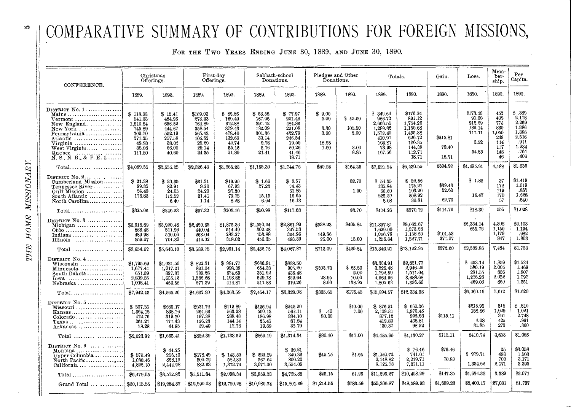# COMPARATIVE SUMMARY OF CONTRIBUTIONS FOR FOREIGN MISSIONS,

FOR THE TWO YEARS ENDING JUNE 30, 1889, AND JUNE 30, 1890.

| CONFERENCE.                                                                                                                                                                | Christmas<br>Offerings.                                                                  |                                                                                      | First-day<br>Offerings.                                                               |                                                                                      | Sabbath-school<br>Donations.                                                      |                                                                                               | Pledges and Other<br>Donations.                 |                                           | Totals.                                                                                       |                                                                                                         | Gain.                      | Loss.                                                            | Mem-<br>ber-<br>ship.                                               | Per<br>Capita.                                                                       |
|----------------------------------------------------------------------------------------------------------------------------------------------------------------------------|------------------------------------------------------------------------------------------|--------------------------------------------------------------------------------------|---------------------------------------------------------------------------------------|--------------------------------------------------------------------------------------|-----------------------------------------------------------------------------------|-----------------------------------------------------------------------------------------------|-------------------------------------------------|-------------------------------------------|-----------------------------------------------------------------------------------------------|---------------------------------------------------------------------------------------------------------|----------------------------|------------------------------------------------------------------|---------------------------------------------------------------------|--------------------------------------------------------------------------------------|
|                                                                                                                                                                            | 1889.                                                                                    | 1890.                                                                                | 1889.                                                                                 | 1890.                                                                                | 1889.                                                                             | 1890.                                                                                         | 1889.                                           | 1890.                                     | 1889.                                                                                         | 1890.                                                                                                   | 1890.                      | 1890.                                                            | 1890.                                                               | 1890.                                                                                |
| $D$ is trict $N_0$ , $1$<br>Maine<br>$Vermont$<br>New England.<br>$New York$<br>Pennsylvania<br>Atlantic<br>Virginia<br>West Virginia<br>Quebec<br>N. S., N. B., & P. E. I | \$118.03<br>541.33<br>1,510.54<br>745.89<br>702.70<br>271.25<br>49.93<br>38.08<br>111.80 | \$15.41<br>484.26<br>656.52<br>444.67<br>552.19<br>257.58<br>38.02<br>66.00<br>40.60 | \$169.03<br>273.33<br>764.89<br>358.54<br>565.43<br>106.52<br>25.20<br>29.14<br>34.35 | \$82.86<br>160.40<br>612.88<br>379.43<br>478.40<br>132.60<br>42.74<br>55.12<br>21.80 | \$53.58<br>167.06<br>391.12<br>182.09<br>301.36<br>33.14<br>9.78<br>5.76<br>21.41 | \$77.97<br>201.46<br>484.86<br>221.08<br>422.79<br>236.54<br>19.59<br>20.26<br>41.46<br>18.71 | \$9.00<br>5.00<br>3.30<br>3.00<br>18.96<br>1.00 | \$45.00<br>105.50<br>2.00<br>3.00<br>8.85 | \$349.64<br>986.72<br>2,666.55<br>1,289.82<br>1,572.49<br>410.91<br>103.87<br>73.98<br>167.56 | \$176.24<br>891.12<br>1,754.26<br>1,150.68<br>1,455.38<br>626.72<br>100.35<br>144.38<br>112.71<br>18.71 | \$215.81<br>70.40<br>18.71 | \$173.40<br>95.60<br>912.29<br>139.14<br>117.11<br>3.52<br>54.85 | 452<br>409<br>773<br>830<br>1,050<br>249<br>114<br>117<br>148<br>46 | \$.389<br>2.178<br>2.269<br>1,386<br>1.386<br>2.516<br>-911<br>1.234<br>.761<br>.406 |
|                                                                                                                                                                            | \$4,089.55                                                                               | \$2,555.25                                                                           | \$2,326.43                                                                            | \$1,966.23                                                                           | \$1,165.30                                                                        | \$1,744.72                                                                                    | \$40.26                                         | \$164.35                                  | \$7,621.54                                                                                    | \$6,430.55                                                                                              | \$304.92                   | \$1,495.91                                                       | 4,188                                                               | \$1.535                                                                              |
| DISTRICT No. $2$<br>Cumberland Mission<br>Tennessee River<br>South Atlantic<br>North Carolina                                                                              | \$ 21.38<br>99.35<br>26.40<br>178.83                                                     | \$20.35<br>82.91<br>24.05<br>112.52<br>6.40                                          | \$31.31<br>9.26<br>24.20<br>31.41<br>1.14                                             | \$19.90<br>67.93<br>27.30<br>79.75<br>8.28                                           | \$1.66<br>27.23<br>15.15<br>6.94                                                  | \$9.57<br>24.43<br>50.85<br>16.65<br>16.13                                                    |                                                 | \$2.70<br>1.00                            | \$54.35<br>135.84<br>50.60<br>225.39<br>8.08                                                  | \$52.52<br>175.27<br>103.20<br>208.92<br>30.81                                                          | \$39.43<br>52.60<br>22.73  | \$1.83<br>16.47                                                  | 37<br>172<br>119<br>170<br>57                                       | \$1.419<br>1.019<br>.867<br>1.228<br>.540                                            |
| $Total \dots \dots \dots \dots \dots \dots \dots$                                                                                                                          | \$325.96                                                                                 | \$246.23                                                                             | \$97.32                                                                               | \$203.16                                                                             | \$50.98                                                                           | \$117.63                                                                                      |                                                 | \$3.70                                    | 8474.26                                                                                       | \$570.72                                                                                                | \$114.76                   | \$18.30                                                          | 555                                                                 | \$1.028                                                                              |
| DISTRICT $No. 3$<br>Illinois                                                                                                                                               | \$6,918.89<br>886.48<br>489.98<br>359.27                                                 | \$3,920.48<br>511.26<br>510.06<br>701.30                                             | \$2,420.65<br>440.04<br>263.04<br>418.02                                              | \$1,875.36<br>514.49<br>283.27<br>318.02                                             | \$1,520.04<br>302.48<br>153.88<br>456.35                                          | \$2,861.99<br>347.53<br>364.96<br>493.39                                                      | \$538.23<br>149.86<br>25.00                     | \$405.84<br>15.00                         | \$11,397.81<br>1,629.00<br>1,056.76<br>1,256,64                                               | \$9,063.67<br>1,373.28<br>1,158.29<br>1.527.71                                                          | \$101.53<br>271.07         | \$2,334.14<br>255.72                                             | 4.308<br>1,150<br>1,179<br>847                                      | \$2.103<br>1.194<br>.982<br>1.803                                                    |
| $Total$                                                                                                                                                                    | \$3,654.62                                                                               | \$5,643.10                                                                           | \$3,539.75                                                                            | \$2,991.14                                                                           | \$2,432.75                                                                        | \$4,067.87                                                                                    | \$713.09                                        | \$420.84                                  | \$15,340.21                                                                                   | \$13,122.95                                                                                             | \$372.60                   | \$2,589.86                                                       | 7,484                                                               | \$1.753                                                                              |
| DISTRICT No. $4$<br>Wisconsin<br>Minnesota<br>South Dakota<br>Iowa<br>Nebraska                                                                                             | \$1,795.69<br>1.677.41<br>651.39<br>2,809.55<br>1,008.41                                 | \$1,031.50<br>1,017.21<br>397.87<br>1.655.16<br>463.52                               | \$ 822.31<br>891.04<br>789.28<br>1,582.28<br>577.39                                   | \$981.77<br>998.38<br>674.69<br>1.193.88<br>414.87                                   | $$686.91^-$<br>654.33<br>351.92<br>549.18<br>211.83                               | \$838.50<br>905.20<br>436.48<br>829.64<br>319.26                                              | \$303.70<br>23.95<br>8.00                       | \$25.50<br>2.00<br>10.00<br>138.95        | \$3,304.91<br>3.526.48<br>1,792.59<br>4,964.96<br>1,805.63                                    | \$2,851.77<br>2,946.29<br>1,511.04<br>3,688.68<br>1,336.60                                              |                            | \$453.14<br>580.19<br>281.55<br>1,276.28<br>469.03               | 1,859<br>2,005<br>836<br>2.052<br>860                               | \$1,534<br>1.469<br>1.807<br>1.797<br>1.551                                          |
| $Total \dots \dots \dots \dots \dots \dots$                                                                                                                                | \$7,942.45                                                                               | \$4,565.26                                                                           | \$4,662.30                                                                            | \$4,263.59                                                                           | \$2,454.17                                                                        | \$3,329.08                                                                                    | \$335.65                                        | \$176.45                                  | \$15,394.57                                                                                   | \$12,334.38                                                                                             |                            | \$3,060.19                                                       | 7.6 <sub>i2</sub>                                                   | \$1.620                                                                              |
| DISTRICT $No.5$<br>Missouri<br>Kansas<br>$Colorado \ldots \ldots \ldots$<br>Arkansas                                                                                       | \$507.55<br>1.364.12<br>412.76<br>261.21<br>78.28                                        | 8285.17<br>838.16<br>319.70<br>177.43<br>44.95                                       | \$231.72<br>264.66<br>197.38<br>126.23<br>32.40                                       | \$119.89<br>563.28<br>288.43<br>144.14<br>17.78                                      | \$136.94<br>500.13<br>186.98<br>25.45<br>19.69                                    | \$245.20<br>562.11<br>384.10<br>87.24<br>35.79                                                | 3.40<br>80.00                                   | \$10.00<br>7.00                           | \$ 876.21<br>2,129.31<br>877.12<br>412.89<br>130.37                                           | \$660.26<br>1.970.45<br>992.23<br>408.81<br>98.52                                                       | \$115.11                   | \$215.95<br>158.86<br>4.08<br>31.85                              | 815<br>1,929<br>361<br>425<br>273                                   | \$.810<br>1.021<br>2.748<br>.961<br>.360                                             |
|                                                                                                                                                                            | \$2,623.92                                                                               | \$1,665.41                                                                           | \$852.39                                                                              | \$1,133.52                                                                           | \$869.19                                                                          | \$1,314.34                                                                                    | \$80.40                                         | \$17.00                                   | \$4,425.90                                                                                    | \$4,130.27                                                                                              | \$115.11                   | \$410.74                                                         | 3,803                                                               | \$1.086                                                                              |
| DISTRICT No. $6$<br>Montana<br>Upper Columbia<br>North Pacific<br>$California \ldots \ldots \ldots \ldots$                                                                 | \$576.49<br>1,080.46<br>4,822.10                                                         | \$44.25<br>256.10<br>828.19<br>2,444.28                                              | \$178.49<br>500.72<br>832.63                                                          | \$143.30<br>582.30<br>1,372.74                                                       | \$220.59<br>567.64<br>3,071.00                                                    | \$32.21<br>340.36<br>809.22<br>3,554.09                                                       | \$45.15                                         | \$1.25                                    | \$1,020.72<br>2,148.82<br>8,725.73                                                            | \$76.46<br>741.01<br>2,219.71<br>7,371.11                                                               | \$76.46<br>70.89           | \$279.71<br>1,354.62                                             | 25<br>493<br>700<br>2,171                                           | \$3,058<br>1.503<br>3.171<br>3.395                                                   |
|                                                                                                                                                                            | \$6,479,05                                                                               | \$3,572.82                                                                           | \$1,511.84                                                                            | \$2,098.34                                                                           | \$3,859.23                                                                        | \$4,735.88                                                                                    | \$45.15                                         | \$1.25                                    | \$11,895.27                                                                                   | \$10,408.29                                                                                             | \$147.35                   | \$1,634.33                                                       | 3,389                                                               | \$3.071                                                                              |
|                                                                                                                                                                            |                                                                                          | \$19,284.37                                                                          | \$12,990.03                                                                           | \$12,720.28                                                                          | \$10,980.74                                                                       | \$15,801.69                                                                                   | \$1,214.55                                      | \$783.59                                  | \$55,300.87                                                                                   | \$48,589.93                                                                                             | \$1,689.23                 | \$8,400.17                                                       | 27,031                                                              | \$1.797                                                                              |

 $\Delta\Omega$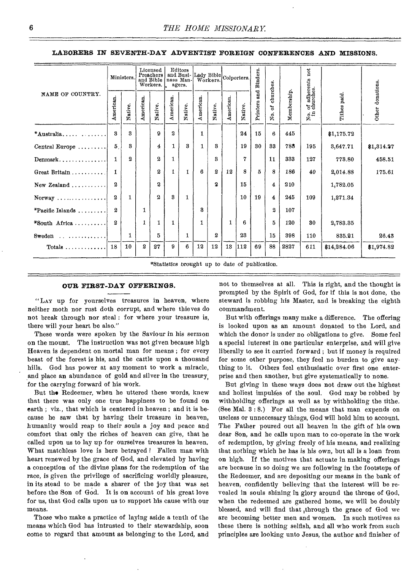**LABORERS IN SEVENTH-DAY ADVENTIST FOREIGN CONFERENCES AND MISSIONS.** 

|                                                | Ministers. |         | Licensed<br>Preachers<br>and Bible<br>Workers. |                  | Editors<br>agers. |         |           |         | and Busi-Lady Bible Colporters. |         | Binders.        |                       |             | not                                               |              |                  |
|------------------------------------------------|------------|---------|------------------------------------------------|------------------|-------------------|---------|-----------|---------|---------------------------------|---------|-----------------|-----------------------|-------------|---------------------------------------------------|--------------|------------------|
| NAME OF COUNTRY.                               | American.  | Native. | American.                                      | Native.          | American          | Native. | American. | Native. | American.                       | Native. | and<br>Printers | churches.<br>ð<br>Хo. | Membership. | of adherents<br>churches.<br>$_{\rm Xm}^{\rm o.}$ | Tithes paid. | Other donations. |
| $*$ Australia                                  | 3          | 3       |                                                | 9                | 2                 |         | 1         |         |                                 | 24      | 15              | 6                     | 445         |                                                   | \$1,175.72   |                  |
| Central Europe                                 | 5          | 8       |                                                | 4                | 1                 | 3       | 1         | 3       |                                 | 19      | 30              | 88                    | 783         | 195                                               | 3,647.71     | \$1,314.27       |
| $Dennark, \ldots, \ldots, \ldots$              | 1          | 2       |                                                | $\boldsymbol{2}$ | 1                 |         |           | 8       |                                 | 7       |                 | 11                    | 333         | 127                                               | 773.80       | 458.51           |
| Great Britain                                  | 1          |         |                                                | $\boldsymbol{2}$ | 1                 | 1       | 6         | 2       | 12                              | 8       | 5               | 8                     | 186         | 40                                                | 2,014.88     | 175.61           |
| New Zealand                                    | 2          |         |                                                | $\mathbf{2}$     |                   |         |           | 2       |                                 | 15      |                 | 4                     | 210         |                                                   | 1,782.05     |                  |
| $Normay \ldots \ldots \ldots \ldots$           | 2          | 1       |                                                | $\mathbf{2}$     | 8                 | 1       |           |         |                                 | 10      | 19              | 4                     | 245         | 109                                               | 1,271.34     |                  |
| $*$ Pacific Islands                            | 2          |         | 1                                              |                  |                   |         | 3         |         |                                 |         |                 | 2                     | 107         |                                                   |              |                  |
| *South Africa                                  | 2          |         | 1                                              |                  | 1                 |         | 1         |         | 1                               | ĥ       |                 | 5                     | 120         | 30                                                | 2,783.85     |                  |
|                                                |            | 1       |                                                | 5.               |                   | 1       |           | 2       |                                 | 23      |                 | 15                    | 398         | 110                                               | 835.21       | 26.43            |
| Totals $\ldots \ldots \ldots \ldots$           | 18         | 10      | 2                                              | 27               | 9                 | 6       | 12        | 12      | 13                              | 112     | 69              | 88                    | 2827        | 611                                               | \$14,284.06  | \$1,974.82       |
| *Statistics brought up to date of publication. |            |         |                                                |                  |                   |         |           |         |                                 |         |                 |                       |             |                                                   |              |                  |

### **OUR FIRST-DAY OFFERINGS.**

"LAY up for yourselves treasures in heaven, where neither moth nor rust doth corrupt, and where thieves do not break through nor steal : for where your treasure is, there will your heart be also."

These words were spoken by the Saviour in his sermon on the mount. The instruction was not given because high Heaven is dependent on mortal man for means ; for every beast of the forest is his, and the cattle upon a thousand hills. God has power at any moment to work a miracle, and place an abundance of gold and silver in the treasury, for the carrying forward of his work.

But the Redeemer, when he uttered these words, knew that there was only one true happiness to be found on earth ; viz., that which is centered in heaven ; and it is because he saw that by having their treasure in heaven, humanity would reap to their souls a joy and peace and comfort that only the riches of heaven can give, that he called upon us to lay up for ourselves treasures in heaven. What matchless love is here betrayed ! Fallen man with heart renewed by the grace of God, and elevated by having a conception of the divine plans for the redemption of the race, is given the privilege of sacrificing worldly pleasure, in its stead to be made a sharer of the joy that was set before the Son of God. It is on account of his great love for us, that God calls upon us to support his cause with our means.

Those who make a practice of laying aside a tenth of the means which God has intrusted to their stewardship, soon come to regard that amount as belonging to the Lord, and not to themselves at all. This is right, and the thought is prompted by the Spirit of God, for if this is not done, the steward is robbing his Master, and is breaking the eighth commandment.

But with offerings many make a difference. The offering is looked upon as an amount donated to the Lord, and which the donor is under *no* obligations to *give.* Some feel a special interest in one particular enterprise, and will give liberally to see it carried forward ; but if money is required for some other purpose, they feel no burden to give anything to it. Others feel enthusiastic over first one enterprise and then another, but give systematically to none.

But giving in these ways does not draw out the highest and holiest impulses of the soul. God may be robbed by withholding offerings as well as by withholding the tithe. (See Mal. 3 : 8.) For all the means that man expends on useless or unnecessary things, God will hold him to account. The Father poured out all heaven in the gift of his own dear Son, and he calls upon man to co-operate in the work of redemption, by giving freely of his means, and realizing that nothing which he has is his own, but all is a loan from on high. If the motives that actuate in making offerings are because in so doing we are following in the footsteps of the Redeemer, and are depositing our means in the bank of heaven, confidently believing that the interest will be revealed in souls shining in glory around the throne of God, when the redeemed are gathered home, we will be doubly blessed, and will find that ,through the grace of God we are becoming better men and women. In such motives as these there is nothing selfish, and all who work from such principles are looking unto Jesus, the author and finisher of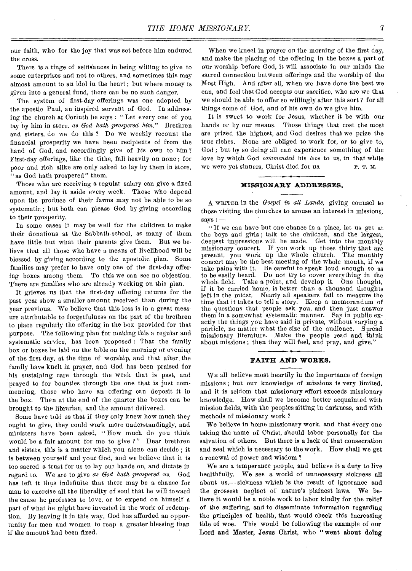our faith, who for the joy that was set before him endured the cross.

There is a tinge of selfishness in being willing to give to some enterprises and not to others, and sometimes this may almost amount to an idol in the heart ; but where money is given into a general fund, there can be no such danger.

The system of first-day offerings was one adopted by the apostle Paul, an inspired servant of God. In addressing the church at Corinth he says : "Let every one of you lay by him in store, *as God hath prospered him."* Brethren and sisters, do we do this ? Do we weekly recount the financial prosperity we have been recipients of from the hand of God, and accordingly give of his own to him ? First-day offerings, like the tithe, fall heavily on none ; for poor and rich alike are only asked to lay by them in store, "as God bath prospered" them.

Those who are receiving a regular salary can give a fixed amount, and lay it aside every week. Those who depend upon the produce of their farms may not be able to be so systematic ; but both can please God by giving according to their prosperity.

In some cases it may be well for the children to make their donations at the Sabbath-school, as many of them have little but what their parents give them. But we believe that all those who have a means of livelihood will be blessed by giving according to the apostolic plan. Some families may prefer to have only one of the first-day offering boxes among them. To this we can see no objection. There are families who are already working on this plan.

It grieves us that the first-day offering returns for the past year show a smaller amount received than during the year previous. We believe that this loss is in a great measure attributable to forgetfulness on the part of the brethren to place regularly the offering in the box provided for that purpose. The following plan for making this a regular and systematic service, has been proposed : That the family box or boxes be laid on the table on the morning or evening of the first day, at the time of worship, and that after, the family have knelt in prayer, and God has been praised for his sustaining care through the week that is past, and prayed to for bounties through the one that is just commencing, those who have an offering can deposit it in the box. Then at the end of the quarter the boxes can be brought to the librarian, and the amount delivered.

Some have told us that if they only knew how much they ought to give, they could work more understandingly, and ministers have been asked, " How much do you think would be a fair amount for me to give ?" Dear brethren and sisters, this is a matter which you alone can decide ; it is between yourself and your God, and we believe that it is too sacred a trust for us to lay our hands on, and dictate in regard to. We are to give *as God hath prospered 'us.* God has left it thus indefinite that there may be a chance for man to exercise all the liberality of soul that he will toward the cause he professes to love, or to expend on himself a part of what he might have invested in the work of redemption. By leaving it in this way, God has afforded an opportunity for men and women to reap a greater blessing than if the amount had been fixed.

When we kneel in prayer on the morning of the first day, and make the placing of the offering in the boxes a part of our worship before God, it will associate in our minds the sacred connection between offerings and the worship of the Most High. And after all, when we have done the best we can, and feel that God accepts our sacrifice, who are we that we should be able to offer so willingly after this sort ? for all things come of God, and of his own do we give him.

It is sweet to work for Jesus, whether it be with our hands or by our means. Those things that cost the most are prized the highest, and God desires that we prize the true riches. None are obliged to work for, or to give to, God ; but by so doing all can experience something of the love by which God *commended* his *love* to us, in that while we were yet sinners, Christ died for us. P. T. M.

### **MISSIONARY ADDRESSES.**

A WRITER in the *Gospel in all Lands,* giving counsel to those visiting the churches to arouse an interest in missions,  $says : -$ 

"If we can have but one chance in a place, let us get at the boys and girls ; talk to the children, and the largest, deepest impressions will be made. Get into the monthly missionary concert. If you work up those thirty that are present, you work up the whole church. The monthly concert may be the best meeting of the whole month, if we take pains with it. Be careful to speak loud enough so as to be easily heard. Do not try to cover everything in the whole field. Take a point, and develop it. One thought, if it be carried home, is better than a thousand thoughts left in the midst. Nearly all speakers fail to measure the time that it takes to tell a story. Keep a memorandum of the questions that people ask you, and then just answer them in a somewhat systematic manner. Say in public exactly the things you have said in private, without varying a particle, no matter what the size of the audience. Spread missionary literature. Make the people read and think about missions; then they will feel, and pray, and give.'

### **FAITH AND WORKS.**

WE all believe most heartily in the importance of foreign missions ; but our knowledge of missions is very limited, and it is seldom that missionary effort exceeds missionary knowledge. How shall we become better acquainted with mission fields, with the peoples sitting in darkness, and with methods of missionary work

We believe in home missionary work, and that every one taking the name of Christ, should labor personally for the salvation of others. But there is a lack of that consecration and zeal which is necessary to the work. How shall we get a renewal of power and wisdom ?

We are a temperance people, and believe it a duty to live healthfully. We see a world of unnecessary sickness all about us,— sickness which is the result of ignorance and the grossest neglect of nature's plainest laws. We believe it would be a noble work to labor kindly for the relief of the suffering, and to disseminate information regarding the principles of health, that would check this increasing tide of woe. This would be following the example of our Lord and Master, Jesus Christ, who "went about doing